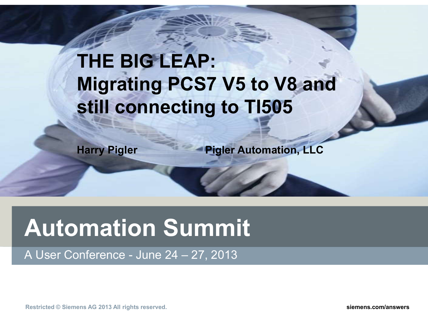## **THE BIG LEAP: Migrating PCS7 V5 to V8 and still connecting to TI505**

**Harry Pigler Pigler Automation, LLC**

# **Automation Summit**

A User Conference - June 24 – 27, 2013

**Restricted © Siemens AG 2013 All rights reserved. siemens.com/answers**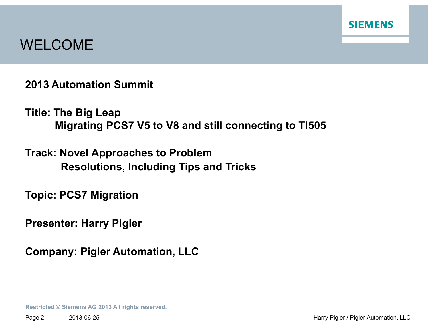

## WELCOME

**2013 Automation Summit**

- **Title: The Big Leap Migrating PCS7 V5 to V8 and still connecting to TI505**
- **Track: Novel Approaches to Problem Resolutions, Including Tips and Tricks**
- **Topic: PCS7 Migration**
- **Presenter: Harry Pigler**
- **Company: Pigler Automation, LLC**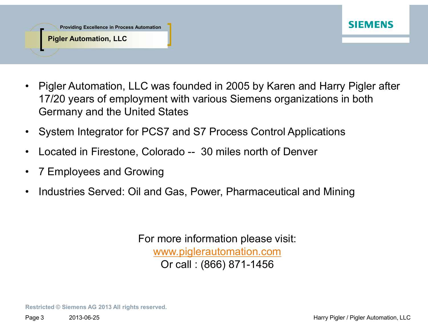

- Pigler Automation, LLC was founded in 2005 by Karen and Harry Pigler after 17/20 years of employment with various Siemens organizations in both Germany and the United States
- System Integrator for PCS7 and S7 Process Control Applications
- Located in Firestone, Colorado -- 30 miles north of Denver
- 7 Employees and Growing
- Industries Served: Oil and Gas, Power, Pharmaceutical and Mining

For more information please visit: www.piglerautomation.com Or call : (866) 871-1456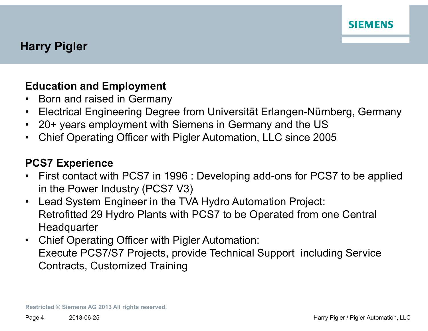

## **Harry Pigler**

### **Education and Employment**

- Born and raised in Germany
- Electrical Engineering Degree from Universität Erlangen-Nürnberg, Germany
- 20+ years employment with Siemens in Germany and the US
- Chief Operating Officer with Pigler Automation, LLC since 2005

## **PCS7 Experience**

- First contact with PCS7 in 1996 : Developing add-ons for PCS7 to be applied in the Power Industry (PCS7 V3)
- Lead System Engineer in the TVA Hydro Automation Project: Retrofitted 29 Hydro Plants with PCS7 to be Operated from one Central **Headquarter**
- Chief Operating Officer with Pigler Automation: Execute PCS7/S7 Projects, provide Technical Support including Service Contracts, Customized Training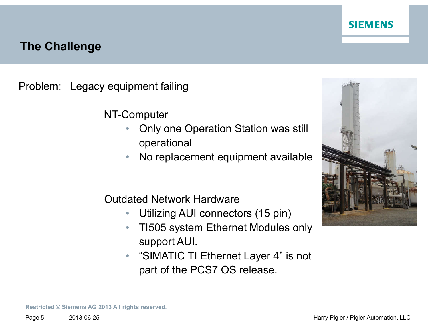#### **SIEMENS**

## **The Challenge**

Problem: Legacy equipment failing

NT-Computer

- Only one Operation Station was still operational
- No replacement equipment available

Outdated Network Hardware

- Utilizing AUI connectors (15 pin)
- TI505 system Ethernet Modules only support AUI.
- "SIMATIC TI Ethernet Layer 4" is not part of the PCS7 OS release.

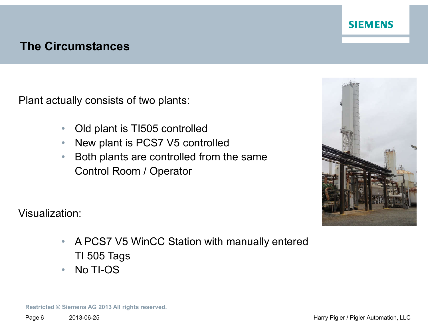

## **The Circumstances**

Plant actually consists of two plants:

- Old plant is TI505 controlled
- New plant is PCS7 V5 controlled
- Both plants are controlled from the same Control Room / Operator



Visualization:

- A PCS7 V5 WinCC Station with manually entered TI 505 Tags
- No TI-OS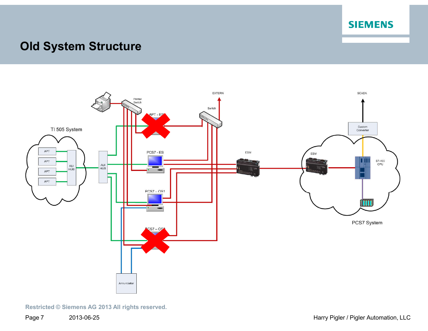

## **Old System Structure**

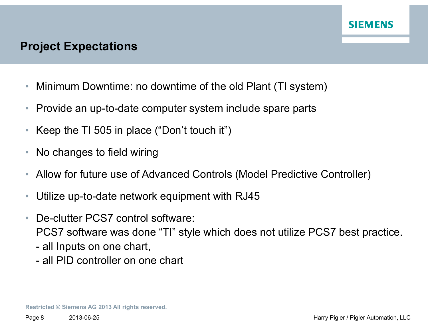## **Project Expectations**

- Minimum Downtime: no downtime of the old Plant (TI system)
- Provide an up-to-date computer system include spare parts
- Keep the TI 505 in place ("Don't touch it")
- No changes to field wiring
- Allow for future use of Advanced Controls (Model Predictive Controller)
- Utilize up-to-date network equipment with RJ45
- De-clutter PCS7 control software: PCS7 software was done "TI" style which does not utilize PCS7 best practice.
	- all Inputs on one chart,
	- all PID controller on one chart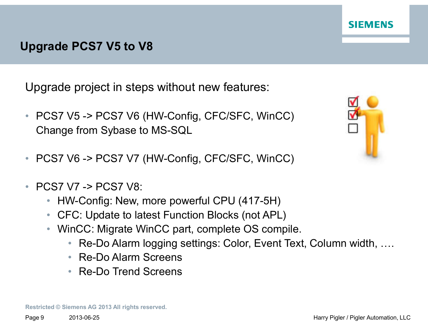#### SIEMENS

## **Upgrade PCS7 V5 to V8**

Upgrade project in steps without new features:

- PCS7 V5 -> PCS7 V6 (HW-Config, CFC/SFC, WinCC) Change from Sybase to MS-SQL
- PCS7 V6 -> PCS7 V7 (HW-Config, CFC/SFC, WinCC)
- PCS7 V7 -> PCS7 V8:
	- HW-Config: New, more powerful CPU (417-5H)
	- CFC: Update to latest Function Blocks (not APL)
	- WinCC: Migrate WinCC part, complete OS compile.
		- Re-Do Alarm logging settings: Color, Event Text, Column width, ….
		- Re-Do Alarm Screens
		- Re-Do Trend Screens

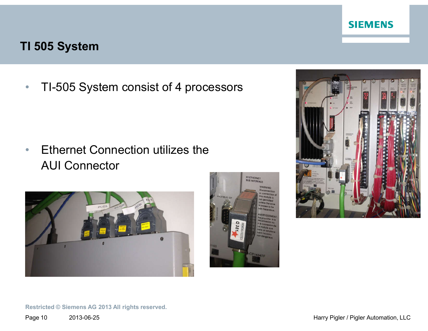#### **SIEMENS**

## **TI 505 System**

• TI-505 System consist of 4 processors

• Ethernet Connection utilizes the AUI Connector





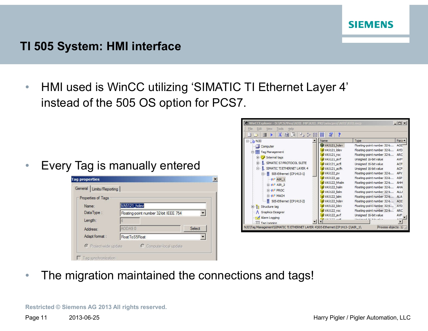

## **TI 505 System: HMI interface**

• HMI used is WinCC utilizing 'SIMATIC TI Ethernet Layer 4' instead of the 505 OS option for PCS7.

• Every Tag is manually entered





• The migration maintained the connections and tags!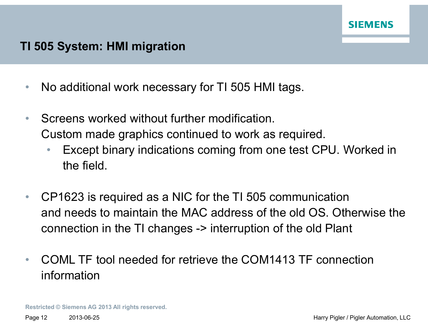## **TI 505 System: HMI migration**

- No additional work necessary for TI 505 HMI tags.
- Screens worked without further modification. Custom made graphics continued to work as required.
	- Except binary indications coming from one test CPU. Worked in the field.
- CP1623 is required as a NIC for the TI 505 communication and needs to maintain the MAC address of the old OS. Otherwise the connection in the TI changes -> interruption of the old Plant
- COML TF tool needed for retrieve the COM1413 TF connection information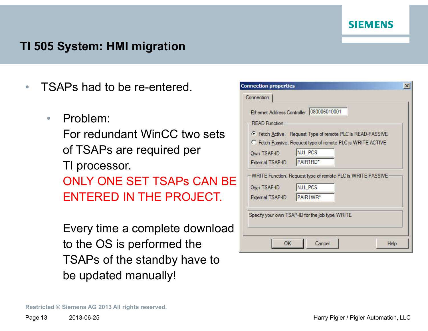

## **TI 505 System: HMI migration**

- TSAPs had to be re-entered.
	- Problem: For redundant WinCC two sets of TSAPs are required per TI processor. ONLY ONE SET TSAPs CAN BE ENTERED IN THE PROJECT.

Every time a complete download to the OS is performed the TSAPs of the standby have to be updated manually!

|                      | Ethernet Address Controller 080006010001                    |  |
|----------------------|-------------------------------------------------------------|--|
| <b>READ Function</b> |                                                             |  |
|                      | Fetch Active, Request Type of remote PLC is READ-PASSIVE    |  |
|                      | Fetch Passive, Request type of remote PLC is WRITE-ACTIVE   |  |
| Own TSAP-ID          | NJ1_PCS                                                     |  |
| External TSAP-ID     | PAIR1RD*                                                    |  |
|                      | WRITE Function, Request type of remote PLC is WRITE-PASSIVE |  |
|                      |                                                             |  |
| Own TSAP-ID          | NJ1_PCS                                                     |  |
| External TSAP-ID     | PAIR1WR*                                                    |  |
|                      |                                                             |  |
|                      | Specify your own TSAP-ID for the job type WRITE             |  |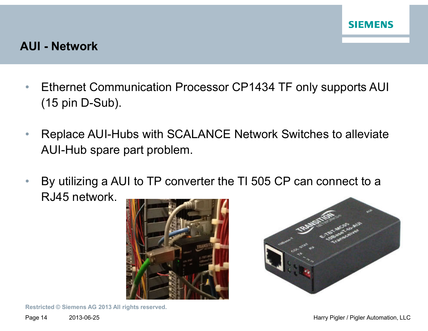## **AUI - Network**

- Ethernet Communication Processor CP1434 TF only supports AUI (15 pin D-Sub).
- Replace AUI-Hubs with SCALANCE Network Switches to alleviate AUI-Hub spare part problem.
- By utilizing a AUI to TP converter the TI 505 CP can connect to a RJ45 network.



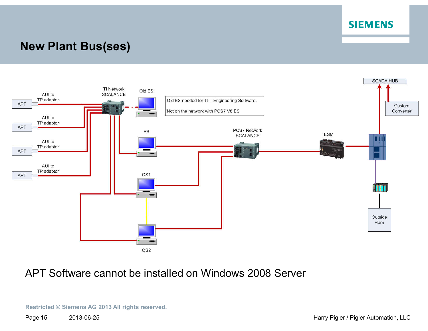

## **New Plant Bus(ses)**



#### APT Software cannot be installed on Windows 2008 Server

**Restricted © Siemens AG 2013 All rights reserved.**

2013-06-25

Page 15 2013-06-25 2013-06-25 2013-06-25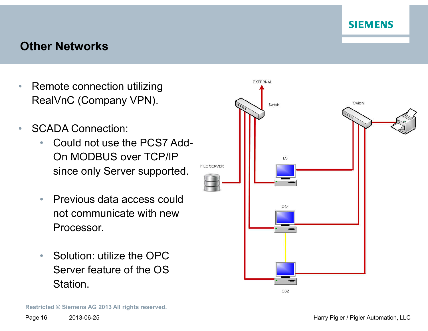

## **Other Networks**

- Remote connection utilizing RealVnC (Company VPN).
- **SCADA Connection:** 
	- Could not use the PCS7 Add-On MODBUS over TCP/IP since only Server supported.
	- Previous data access could not communicate with new Processor.
	- Solution: utilize the OPC Server feature of the OS Station.

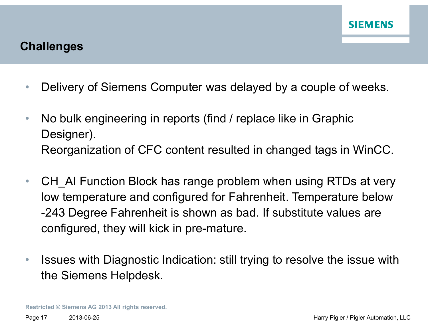## **Challenges**

- Delivery of Siemens Computer was delayed by a couple of weeks.
- No bulk engineering in reports (find / replace like in Graphic Designer). Reorganization of CFC content resulted in changed tags in WinCC.
- CH AI Function Block has range problem when using RTDs at very low temperature and configured for Fahrenheit. Temperature below -243 Degree Fahrenheit is shown as bad. If substitute values are configured, they will kick in pre-mature.
- Issues with Diagnostic Indication: still trying to resolve the issue with the Siemens Helpdesk.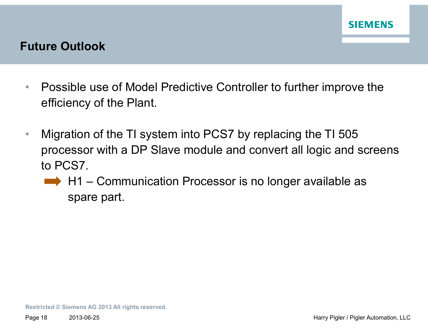## **Future Outlook**

- Possible use of Model Predictive Controller to further improve the efficiency of the Plant.
- Migration of the TI system into PCS7 by replacing the TI 505 processor with a DP Slave module and convert all logic and screens to PCS7.
	- $\rightarrow$  H1 Communication Processor is no longer available as spare part.